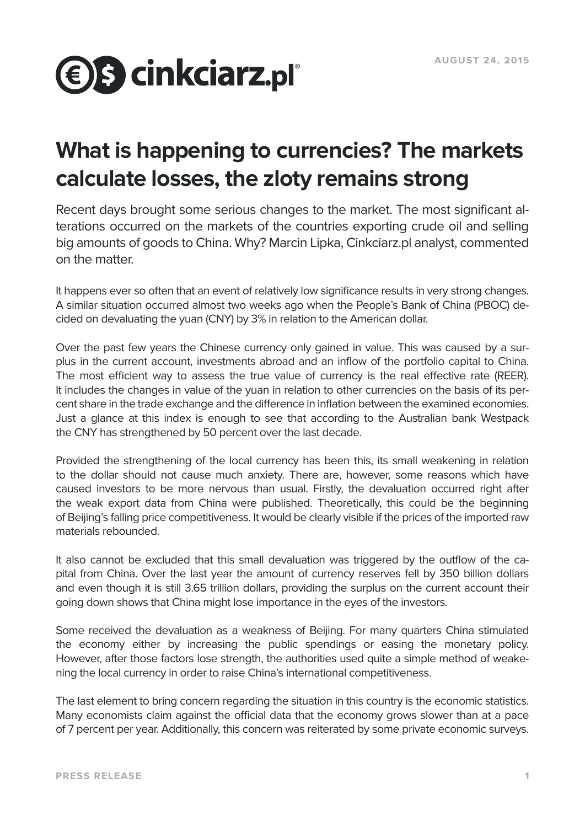

# **What is happening to currencies? The markets calculate losses, the zloty remains strong**

Recent days brought some serious changes to the market. The most significant alterations occurred on the markets of the countries exporting crude oil and selling big amounts of goods to China. Why? Marcin Lipka, Cinkciarz.pl analyst, commented on the matter.

It happens ever so often that an event of relatively low significance results in very strong changes. A similar situation occurred almost two weeks ago when the People's Bank of China (PBOC) decided on devaluating the yuan (CNY) by 3% in relation to the American dollar.

Over the past few years the Chinese currency only gained in value. This was caused by a surplus in the current account, investments abroad and an inflow of the portfolio capital to China. The most efficient way to assess the true value of currency is the real effective rate (REER). It includes the changes in value of the yuan in relation to other currencies on the basis of its percent share in the trade exchange and the difference in inflation between the examined economies. Just a glance at this index is enough to see that according to the Australian bank Westpack the CNY has strengthened by 50 percent over the last decade.

Provided the strengthening of the local currency has been this, its small weakening in relation to the dollar should not cause much anxiety. There are, however, some reasons which have caused investors to be more nervous than usual. Firstly, the devaluation occurred right after the weak export data from China were published. Theoretically, this could be the beginning of Beijing's falling price competitiveness. It would be clearly visible if the prices of the imported raw materials rebounded.

It also cannot be excluded that this small devaluation was triggered by the outflow of the capital from China. Over the last year the amount of currency reserves fell by 350 billion dollars and even though it is still 3.65 trillion dollars, providing the surplus on the current account their going down shows that China might lose importance in the eyes of the investors.

Some received the devaluation as a weakness of Beijing. For many quarters China stimulated the economy either by increasing the public spendings or easing the monetary policy. However, after those factors lose strength, the authorities used quite a simple method of weakening the local currency in order to raise China's international competitiveness.

The last element to bring concern regarding the situation in this country is the economic statistics. Many economists claim against the official data that the economy grows slower than at a pace of 7 percent per year. Additionally, this concern was reiterated by some private economic surveys.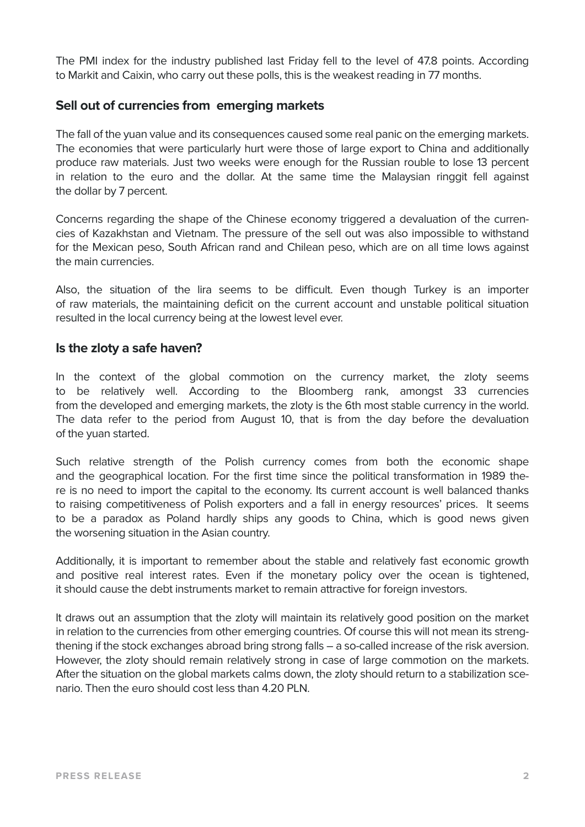The PMI index for the industry published last Friday fell to the level of 47.8 points. According to Markit and Caixin, who carry out these polls, this is the weakest reading in 77 months.

## **Sell out of currencies from emerging markets**

The fall of the yuan value and its consequences caused some real panic on the emerging markets. The economies that were particularly hurt were those of large export to China and additionally produce raw materials. Just two weeks were enough for the Russian rouble to lose 13 percent in relation to the euro and the dollar. At the same time the Malaysian ringgit fell against the dollar by 7 percent.

Concerns regarding the shape of the Chinese economy triggered a devaluation of the currencies of Kazakhstan and Vietnam. The pressure of the sell out was also impossible to withstand for the Mexican peso, South African rand and Chilean peso, which are on all time lows against the main currencies.

Also, the situation of the lira seems to be difficult. Even though Turkey is an importer of raw materials, the maintaining deficit on the current account and unstable political situation resulted in the local currency being at the lowest level ever.

### **Is the zloty a safe haven?**

In the context of the global commotion on the currency market, the zloty seems to be relatively well. According to the Bloomberg rank, amongst 33 currencies from the developed and emerging markets, the zloty is the 6th most stable currency in the world. The data refer to the period from August 10, that is from the day before the devaluation of the yuan started.

Such relative strength of the Polish currency comes from both the economic shape and the geographical location. For the first time since the political transformation in 1989 there is no need to import the capital to the economy. Its current account is well balanced thanks to raising competitiveness of Polish exporters and a fall in energy resources' prices. It seems to be a paradox as Poland hardly ships any goods to China, which is good news given the worsening situation in the Asian country.

Additionally, it is important to remember about the stable and relatively fast economic growth and positive real interest rates. Even if the monetary policy over the ocean is tightened, it should cause the debt instruments market to remain attractive for foreign investors.

It draws out an assumption that the zloty will maintain its relatively good position on the market in relation to the currencies from other emerging countries. Of course this will not mean its strengthening if the stock exchanges abroad bring strong falls – a so-called increase of the risk aversion. However, the zloty should remain relatively strong in case of large commotion on the markets. After the situation on the global markets calms down, the zloty should return to a stabilization scenario. Then the euro should cost less than 4.20 PLN.